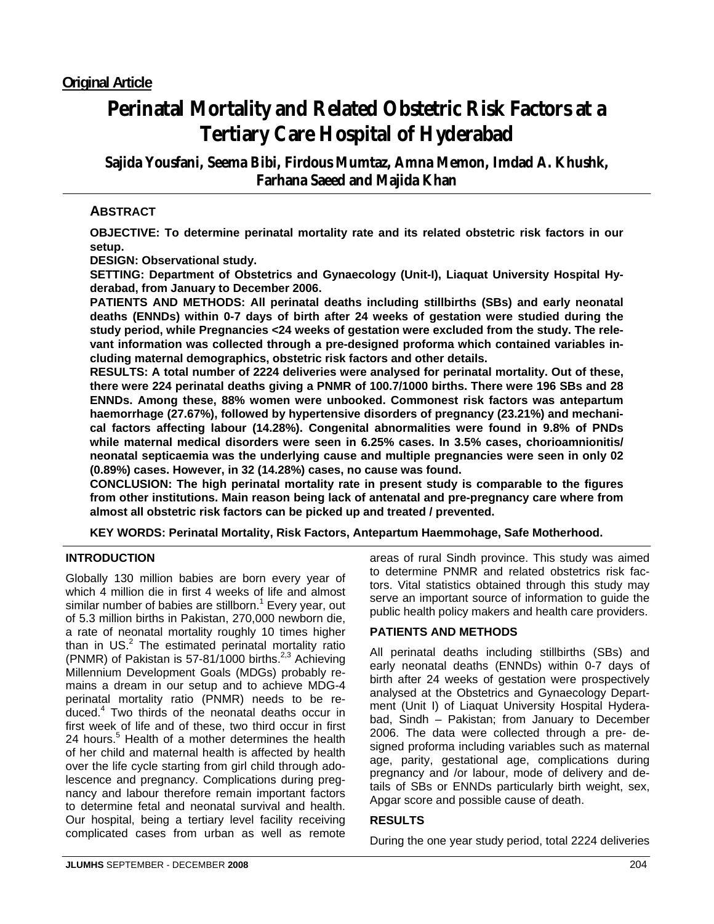# **Perinatal Mortality and Related Obstetric Risk Factors at a Tertiary Care Hospital of Hyderabad**

**Sajida Yousfani, Seema Bibi, Firdous Mumtaz, Amna Memon, Imdad A. Khushk, Farhana Saeed and Majida Khan**

# **ABSTRACT**

**OBJECTIVE: To determine perinatal mortality rate and its related obstetric risk factors in our setup.** 

**DESIGN: Observational study.** 

**SETTING: Department of Obstetrics and Gynaecology (Unit-I), Liaquat University Hospital Hyderabad, from January to December 2006.** 

**PATIENTS AND METHODS: All perinatal deaths including stillbirths (SBs) and early neonatal deaths (ENNDs) within 0-7 days of birth after 24 weeks of gestation were studied during the study period, while Pregnancies <24 weeks of gestation were excluded from the study. The relevant information was collected through a pre-designed proforma which contained variables including maternal demographics, obstetric risk factors and other details.** 

**RESULTS: A total number of 2224 deliveries were analysed for perinatal mortality. Out of these, there were 224 perinatal deaths giving a PNMR of 100.7/1000 births. There were 196 SBs and 28 ENNDs. Among these, 88% women were unbooked. Commonest risk factors was antepartum haemorrhage (27.67%), followed by hypertensive disorders of pregnancy (23.21%) and mechanical factors affecting labour (14.28%). Congenital abnormalities were found in 9.8% of PNDs while maternal medical disorders were seen in 6.25% cases. In 3.5% cases, chorioamnionitis/ neonatal septicaemia was the underlying cause and multiple pregnancies were seen in only 02 (0.89%) cases. However, in 32 (14.28%) cases, no cause was found.** 

**CONCLUSION: The high perinatal mortality rate in present study is comparable to the figures from other institutions. Main reason being lack of antenatal and pre-pregnancy care where from almost all obstetric risk factors can be picked up and treated / prevented.** 

**KEY WORDS: Perinatal Mortality, Risk Factors, Antepartum Haemmohage, Safe Motherhood.**

## **INTRODUCTION**

Globally 130 million babies are born every year of which 4 million die in first 4 weeks of life and almost similar number of babies are stillborn.<sup>1</sup> Every year, out of 5.3 million births in Pakistan, 270,000 newborn die, a rate of neonatal mortality roughly 10 times higher than in US. $2$  The estimated perinatal mortality ratio (PNMR) of Pakistan is  $57-81/1000$  births.<sup>2,3</sup> Achieving Millennium Development Goals (MDGs) probably remains a dream in our setup and to achieve MDG-4 perinatal mortality ratio (PNMR) needs to be reduced.4 Two thirds of the neonatal deaths occur in first week of life and of these, two third occur in first 24 hours.<sup>5</sup> Health of a mother determines the health of her child and maternal health is affected by health over the life cycle starting from girl child through adolescence and pregnancy. Complications during pregnancy and labour therefore remain important factors to determine fetal and neonatal survival and health. Our hospital, being a tertiary level facility receiving complicated cases from urban as well as remote

areas of rural Sindh province. This study was aimed to determine PNMR and related obstetrics risk factors. Vital statistics obtained through this study may serve an important source of information to guide the public health policy makers and health care providers.

## **PATIENTS AND METHODS**

All perinatal deaths including stillbirths (SBs) and early neonatal deaths (ENNDs) within 0-7 days of birth after 24 weeks of gestation were prospectively analysed at the Obstetrics and Gynaecology Department (Unit I) of Liaquat University Hospital Hyderabad, Sindh – Pakistan; from January to December 2006. The data were collected through a pre- designed proforma including variables such as maternal age, parity, gestational age, complications during pregnancy and /or labour, mode of delivery and details of SBs or ENNDs particularly birth weight, sex, Apgar score and possible cause of death.

## **RESULTS**

During the one year study period, total 2224 deliveries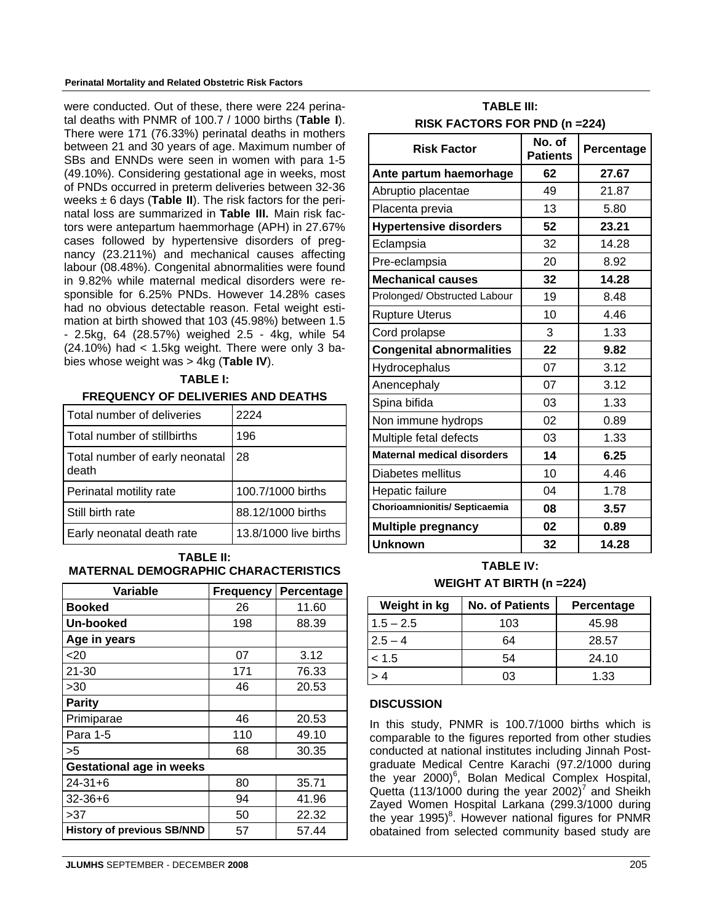#### **Perinatal Mortality and Related Obstetric Risk Factors**

were conducted. Out of these, there were 224 perinatal deaths with PNMR of 100.7 / 1000 births (**Table I**). There were 171 (76.33%) perinatal deaths in mothers between 21 and 30 years of age. Maximum number of SBs and ENNDs were seen in women with para 1-5 (49.10%). Considering gestational age in weeks, most of PNDs occurred in preterm deliveries between 32-36 weeks ± 6 days (**Table II**). The risk factors for the perinatal loss are summarized in **Table III.** Main risk factors were antepartum haemmorhage (APH) in 27.67% cases followed by hypertensive disorders of pregnancy (23.211%) and mechanical causes affecting labour (08.48%). Congenital abnormalities were found in 9.82% while maternal medical disorders were responsible for 6.25% PNDs. However 14.28% cases had no obvious detectable reason. Fetal weight estimation at birth showed that 103 (45.98%) between 1.5 - 2.5kg, 64 (28.57%) weighed 2.5 - 4kg, while 54 (24.10%) had < 1.5kg weight. There were only 3 babies whose weight was > 4kg (**Table IV**).

#### **TABLE I:**

#### **FREQUENCY OF DELIVERIES AND DEATHS**

| Total number of deliveries              | 2224                  |
|-----------------------------------------|-----------------------|
| Total number of stillbirths             | 196                   |
| Total number of early neonatal<br>death | 28                    |
| Perinatal motility rate                 | 100.7/1000 births     |
| Still birth rate                        | 88.12/1000 births     |
| Early neonatal death rate               | 13.8/1000 live births |

#### **TABLE II: MATERNAL DEMOGRAPHIC CHARACTERISTICS**

| <b>Variable</b>                   | <b>Frequency</b> | Percentage |  |  |
|-----------------------------------|------------------|------------|--|--|
| <b>Booked</b>                     | 26               | 11.60      |  |  |
| Un-booked                         | 198              | 88.39      |  |  |
| Age in years                      |                  |            |  |  |
| $<$ 20                            | 07               | 3.12       |  |  |
| 21-30                             | 171              | 76.33      |  |  |
| >30                               | 46               | 20.53      |  |  |
| <b>Parity</b>                     |                  |            |  |  |
| Primiparae                        | 46               | 20.53      |  |  |
| Para 1-5                          | 110              | 49.10      |  |  |
| >5                                | 68               | 30.35      |  |  |
| <b>Gestational age in weeks</b>   |                  |            |  |  |
| $24 - 31 + 6$                     | 80               | 35.71      |  |  |
| $32 - 36 + 6$                     | 94               | 41.96      |  |  |
| >37                               | 50               | 22.32      |  |  |
| <b>History of previous SB/NND</b> | 57               | 57.44      |  |  |

#### **TABLE III: RISK FACTORS FOR PND (n =224)**

| <b>Risk Factor</b>                | No. of<br><b>Patients</b> | Percentage |
|-----------------------------------|---------------------------|------------|
| Ante partum haemorhage            | 62                        | 27.67      |
| Abruptio placentae                | 49                        | 21.87      |
| Placenta previa                   | 13                        | 5.80       |
| <b>Hypertensive disorders</b>     | 52                        | 23.21      |
| Eclampsia                         | 32                        | 14.28      |
| Pre-eclampsia                     | 20                        | 8.92       |
| <b>Mechanical causes</b>          | 32                        | 14.28      |
| Prolonged/ Obstructed Labour      | 19                        | 8.48       |
| <b>Rupture Uterus</b>             | 10                        | 4.46       |
| Cord prolapse                     | 3                         | 1.33       |
| <b>Congenital abnormalities</b>   | 22                        | 9.82       |
| Hydrocephalus                     | 07                        | 3.12       |
| Anencephaly                       | 07                        | 3.12       |
| Spina bifida                      | 03                        | 1.33       |
| Non immune hydrops                | 02                        | 0.89       |
| Multiple fetal defects            | 03                        | 1.33       |
| <b>Maternal medical disorders</b> | 14                        | 6.25       |
| Diabetes mellitus                 | 10                        | 4.46       |
| Hepatic failure                   | 04                        | 1.78       |
| Chorioamnionitis/ Septicaemia     | 08                        | 3.57       |
| <b>Multiple pregnancy</b>         | 02                        | 0.89       |
| <b>Unknown</b>                    | 32                        | 14.28      |

## **TABLE IV: WEIGHT AT BIRTH (n =224)**

| Weight in kg | <b>No. of Patients</b> | Percentage |
|--------------|------------------------|------------|
| $1.5 - 2.5$  | 103                    | 45.98      |
| $2.5 - 4$    | 64                     | 28.57      |
| < 1.5        | 54                     | 24.10      |
| >4           | ივ                     | 1.33       |

#### **DISCUSSION**

In this study, PNMR is 100.7/1000 births which is comparable to the figures reported from other studies conducted at national institutes including Jinnah Postgraduate Medical Centre Karachi (97.2/1000 during the year 2000)<sup>6</sup>, Bolan Medical Complex Hospital, Quetta (113/1000 during the year 2002)<sup>7</sup> and Sheikh Zayed Women Hospital Larkana (299.3/1000 during the year 1995)<sup>8</sup>. However national figures for PNMR obatained from selected community based study are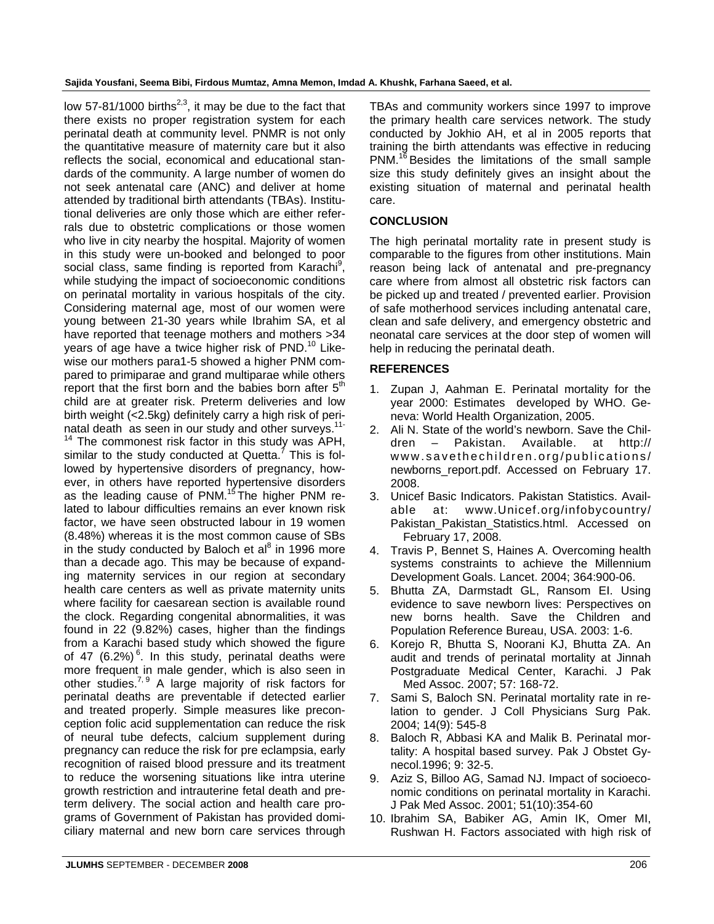**Sajida Yousfani, Seema Bibi, Firdous Mumtaz, Amna Memon, Imdad A. Khushk, Farhana Saeed, et al.**

low 57-81/1000 births<sup>2,3</sup>, it may be due to the fact that there exists no proper registration system for each perinatal death at community level. PNMR is not only the quantitative measure of maternity care but it also reflects the social, economical and educational standards of the community. A large number of women do not seek antenatal care (ANC) and deliver at home attended by traditional birth attendants (TBAs). Institutional deliveries are only those which are either referrals due to obstetric complications or those women who live in city nearby the hospital. Majority of women in this study were un-booked and belonged to poor social class, same finding is reported from Karachi<sup>9</sup>, while studying the impact of socioeconomic conditions on perinatal mortality in various hospitals of the city. Considering maternal age, most of our women were young between 21-30 years while Ibrahim SA, et al have reported that teenage mothers and mothers >34 years of age have a twice higher risk of PND.<sup>10</sup> Likewise our mothers para1-5 showed a higher PNM compared to primiparae and grand multiparae while others report that the first born and the babies born after  $5<sup>th</sup>$ child are at greater risk. Preterm deliveries and low birth weight (<2.5kg) definitely carry a high risk of perinatal death as seen in our study and other surveys.<sup>11-</sup>

 $14$  The commonest risk factor in this study was APH, similar to the study conducted at Quetta.<sup>7</sup> This is followed by hypertensive disorders of pregnancy, however, in others have reported hypertensive disorders as the leading cause of PNM.<sup>15</sup> The higher PNM related to labour difficulties remains an ever known risk factor, we have seen obstructed labour in 19 women (8.48%) whereas it is the most common cause of SBs in the study conducted by Baloch et al $8$  in 1996 more than a decade ago. This may be because of expanding maternity services in our region at secondary health care centers as well as private maternity units where facility for caesarean section is available round the clock. Regarding congenital abnormalities, it was found in 22 (9.82%) cases, higher than the findings from a Karachi based study which showed the figure of 47 (6.2%)<sup>6</sup>. In this study, perinatal deaths were more frequent in male gender, which is also seen in other studies. $7,9$  A large majority of risk factors for perinatal deaths are preventable if detected earlier and treated properly. Simple measures like preconception folic acid supplementation can reduce the risk of neural tube defects, calcium supplement during pregnancy can reduce the risk for pre eclampsia, early recognition of raised blood pressure and its treatment to reduce the worsening situations like intra uterine growth restriction and intrauterine fetal death and preterm delivery. The social action and health care programs of Government of Pakistan has provided domiciliary maternal and new born care services through

TBAs and community workers since 1997 to improve the primary health care services network. The study conducted by Jokhio AH, et al in 2005 reports that training the birth attendants was effective in reducing PNM.<sup>16</sup> Besides the limitations of the small sample size this study definitely gives an insight about the existing situation of maternal and perinatal health care.

## **CONCLUSION**

The high perinatal mortality rate in present study is comparable to the figures from other institutions. Main reason being lack of antenatal and pre-pregnancy care where from almost all obstetric risk factors can be picked up and treated / prevented earlier. Provision of safe motherhood services including antenatal care, clean and safe delivery, and emergency obstetric and neonatal care services at the door step of women will help in reducing the perinatal death.

#### **REFERENCES**

- 1. Zupan J, Aahman E. Perinatal mortality for the year 2000: Estimates developed by WHO. Geneva: World Health Organization, 2005.
- 2. Ali N. State of the world's newborn. Save the Children – Pakistan. Available. at http:// www.savethechildren.org/publications/ newborns\_report.pdf. Accessed on February 17. 2008.
- 3. Unicef Basic Indicators. Pakistan Statistics. Available at: www.Unicef.org/infobycountry/ Pakistan Pakistan Statistics.html. Accessed on February 17, 2008.
- 4. Travis P, Bennet S, Haines A. Overcoming health systems constraints to achieve the Millennium Development Goals. Lancet. 2004; 364:900-06.
- 5. Bhutta ZA, Darmstadt GL, Ransom EI. Using evidence to save newborn lives: Perspectives on new borns health. Save the Children and Population Reference Bureau, USA. 2003: 1-6.
- 6. Korejo R, Bhutta S, Noorani KJ, Bhutta ZA. An audit and trends of perinatal mortality at Jinnah Postgraduate Medical Center, Karachi. J Pak Med Assoc. 2007; 57: 168-72.
- 7. Sami S, Baloch SN. Perinatal mortality rate in relation to gender. J Coll Physicians Surg Pak. 2004; 14(9): 545-8
- 8. Baloch R, Abbasi KA and Malik B. Perinatal mortality: A hospital based survey. Pak J Obstet Gynecol.1996; 9: 32-5.
- 9. Aziz S, Billoo AG, Samad NJ. Impact of socioeconomic conditions on perinatal mortality in Karachi. J Pak Med Assoc. 2001; 51(10):354-60
- 10. Ibrahim SA, Babiker AG, Amin IK, Omer MI, Rushwan H. Factors associated with high risk of